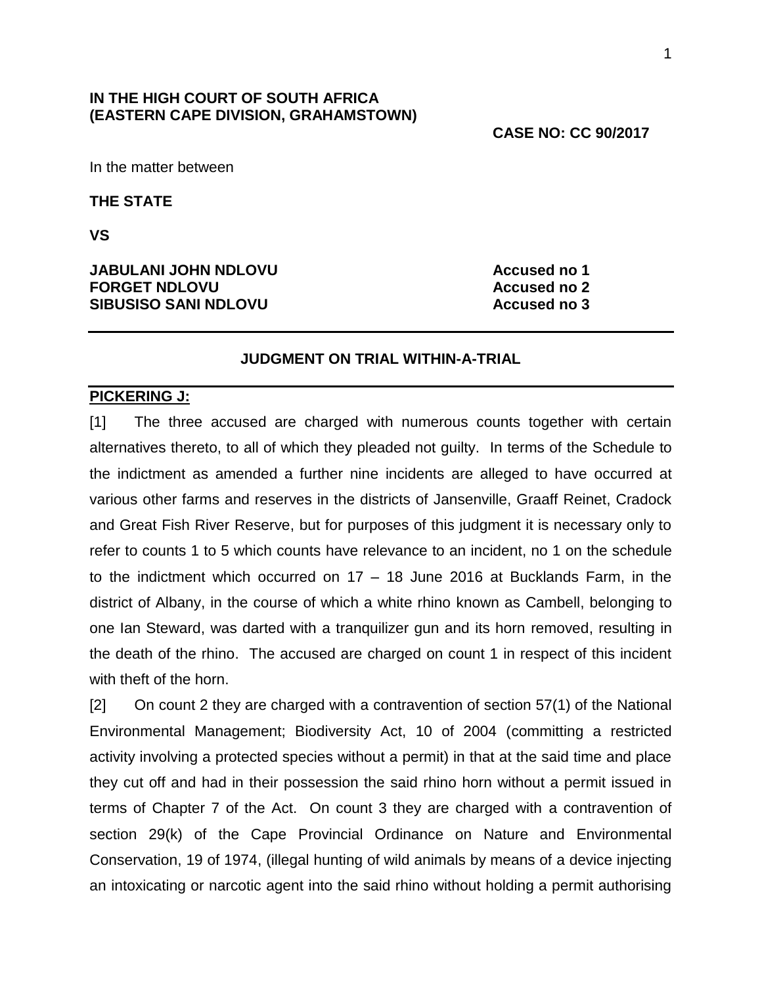## **IN THE HIGH COURT OF SOUTH AFRICA (EASTERN CAPE DIVISION, GRAHAMSTOWN)**

### **CASE NO: CC 90/2017**

In the matter between

**THE STATE**

**VS**

### **JABULANI JOHN NDLOVU Accused no 1 FORGET NDLOVU Accused no 2 SIBUSISO SANI NDLOVU Accused no 3**

## **JUDGMENT ON TRIAL WITHIN-A-TRIAL**

#### **PICKERING J:**

[1] The three accused are charged with numerous counts together with certain alternatives thereto, to all of which they pleaded not guilty. In terms of the Schedule to the indictment as amended a further nine incidents are alleged to have occurred at various other farms and reserves in the districts of Jansenville, Graaff Reinet, Cradock and Great Fish River Reserve, but for purposes of this judgment it is necessary only to refer to counts 1 to 5 which counts have relevance to an incident, no 1 on the schedule to the indictment which occurred on 17 – 18 June 2016 at Bucklands Farm, in the district of Albany, in the course of which a white rhino known as Cambell, belonging to one Ian Steward, was darted with a tranquilizer gun and its horn removed, resulting in the death of the rhino. The accused are charged on count 1 in respect of this incident with theft of the horn.

[2] On count 2 they are charged with a contravention of section 57(1) of the National Environmental Management; Biodiversity Act, 10 of 2004 (committing a restricted activity involving a protected species without a permit) in that at the said time and place they cut off and had in their possession the said rhino horn without a permit issued in terms of Chapter 7 of the Act. On count 3 they are charged with a contravention of section 29(k) of the Cape Provincial Ordinance on Nature and Environmental Conservation, 19 of 1974, (illegal hunting of wild animals by means of a device injecting an intoxicating or narcotic agent into the said rhino without holding a permit authorising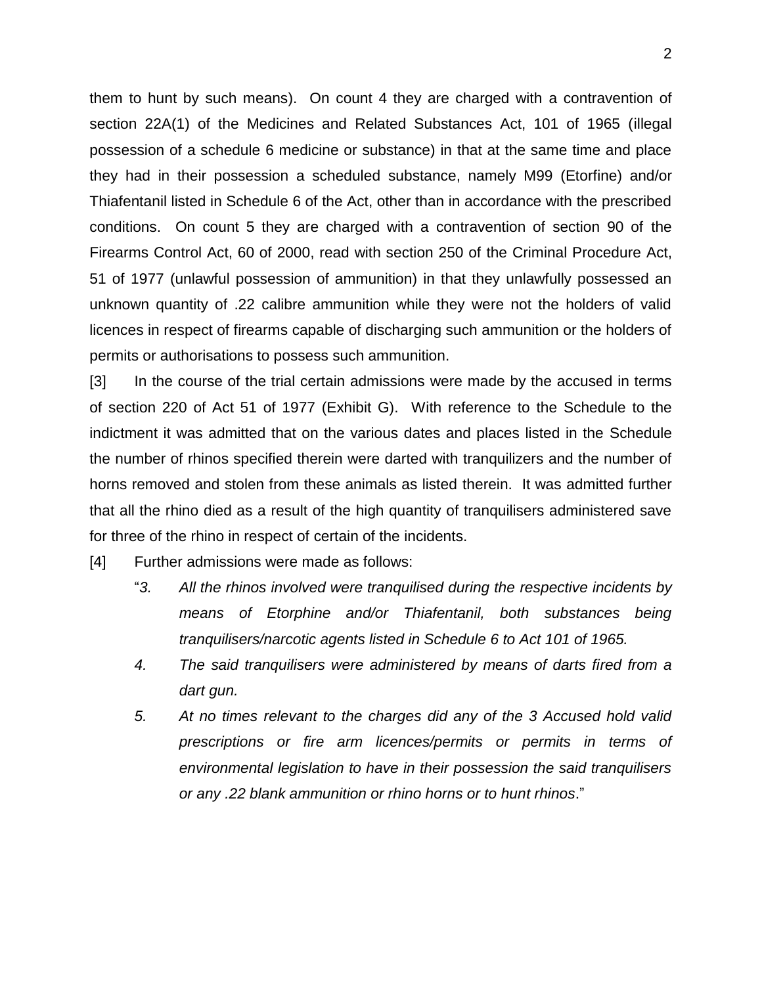them to hunt by such means). On count 4 they are charged with a contravention of section 22A(1) of the Medicines and Related Substances Act, 101 of 1965 (illegal possession of a schedule 6 medicine or substance) in that at the same time and place they had in their possession a scheduled substance, namely M99 (Etorfine) and/or Thiafentanil listed in Schedule 6 of the Act, other than in accordance with the prescribed conditions. On count 5 they are charged with a contravention of section 90 of the Firearms Control Act, 60 of 2000, read with section 250 of the Criminal Procedure Act, 51 of 1977 (unlawful possession of ammunition) in that they unlawfully possessed an unknown quantity of .22 calibre ammunition while they were not the holders of valid licences in respect of firearms capable of discharging such ammunition or the holders of permits or authorisations to possess such ammunition.

[3] In the course of the trial certain admissions were made by the accused in terms of section 220 of Act 51 of 1977 (Exhibit G). With reference to the Schedule to the indictment it was admitted that on the various dates and places listed in the Schedule the number of rhinos specified therein were darted with tranquilizers and the number of horns removed and stolen from these animals as listed therein. It was admitted further that all the rhino died as a result of the high quantity of tranquilisers administered save for three of the rhino in respect of certain of the incidents.

[4] Further admissions were made as follows:

- "*3. All the rhinos involved were tranquilised during the respective incidents by means of Etorphine and/or Thiafentanil, both substances being tranquilisers/narcotic agents listed in Schedule 6 to Act 101 of 1965.*
- *4. The said tranquilisers were administered by means of darts fired from a dart gun.*
- *5. At no times relevant to the charges did any of the 3 Accused hold valid prescriptions or fire arm licences/permits or permits in terms of environmental legislation to have in their possession the said tranquilisers or any .22 blank ammunition or rhino horns or to hunt rhinos*."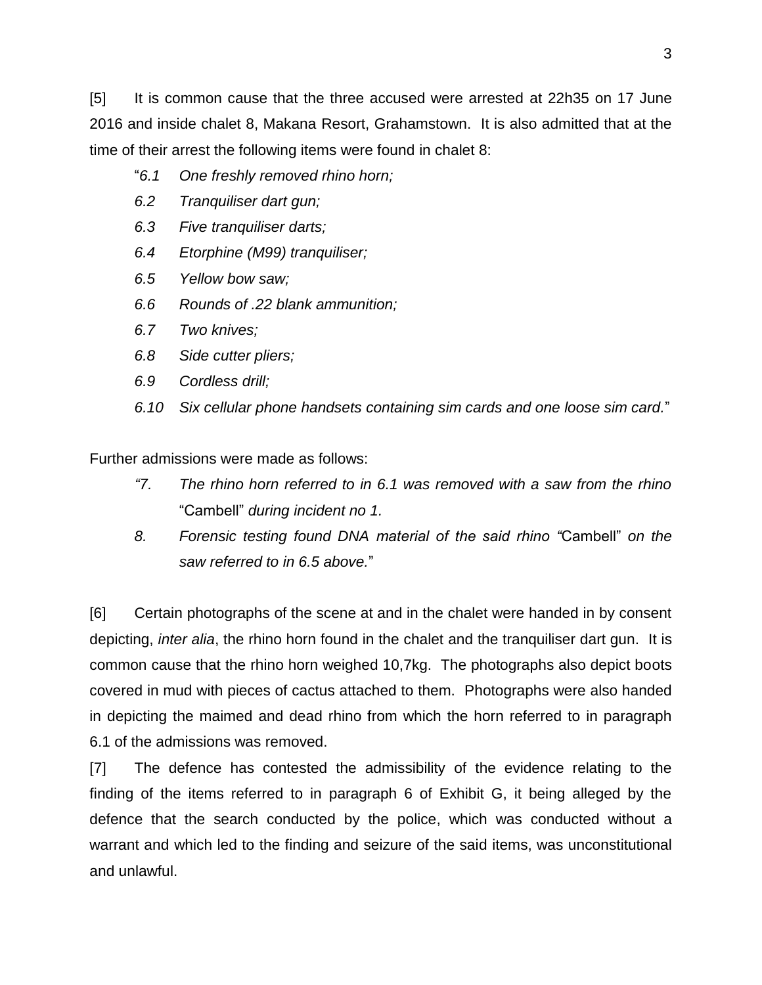[5] It is common cause that the three accused were arrested at 22h35 on 17 June 2016 and inside chalet 8, Makana Resort, Grahamstown. It is also admitted that at the time of their arrest the following items were found in chalet 8:

- "*6.1 One freshly removed rhino horn;*
- *6.2 Tranquiliser dart gun;*
- *6.3 Five tranquiliser darts;*
- *6.4 Etorphine (M99) tranquiliser;*
- *6.5 Yellow bow saw;*
- *6.6 Rounds of .22 blank ammunition;*
- *6.7 Two knives;*
- *6.8 Side cutter pliers;*
- *6.9 Cordless drill;*
- *6.10 Six cellular phone handsets containing sim cards and one loose sim card.*"

Further admissions were made as follows:

- *"7. The rhino horn referred to in 6.1 was removed with a saw from the rhino*  "Cambell" *during incident no 1.*
- *8. Forensic testing found DNA material of the said rhino "*Cambell" *on the saw referred to in 6.5 above.*"

[6] Certain photographs of the scene at and in the chalet were handed in by consent depicting, *inter alia*, the rhino horn found in the chalet and the tranquiliser dart gun. It is common cause that the rhino horn weighed 10,7kg. The photographs also depict boots covered in mud with pieces of cactus attached to them. Photographs were also handed in depicting the maimed and dead rhino from which the horn referred to in paragraph 6.1 of the admissions was removed.

[7] The defence has contested the admissibility of the evidence relating to the finding of the items referred to in paragraph 6 of Exhibit G, it being alleged by the defence that the search conducted by the police, which was conducted without a warrant and which led to the finding and seizure of the said items, was unconstitutional and unlawful.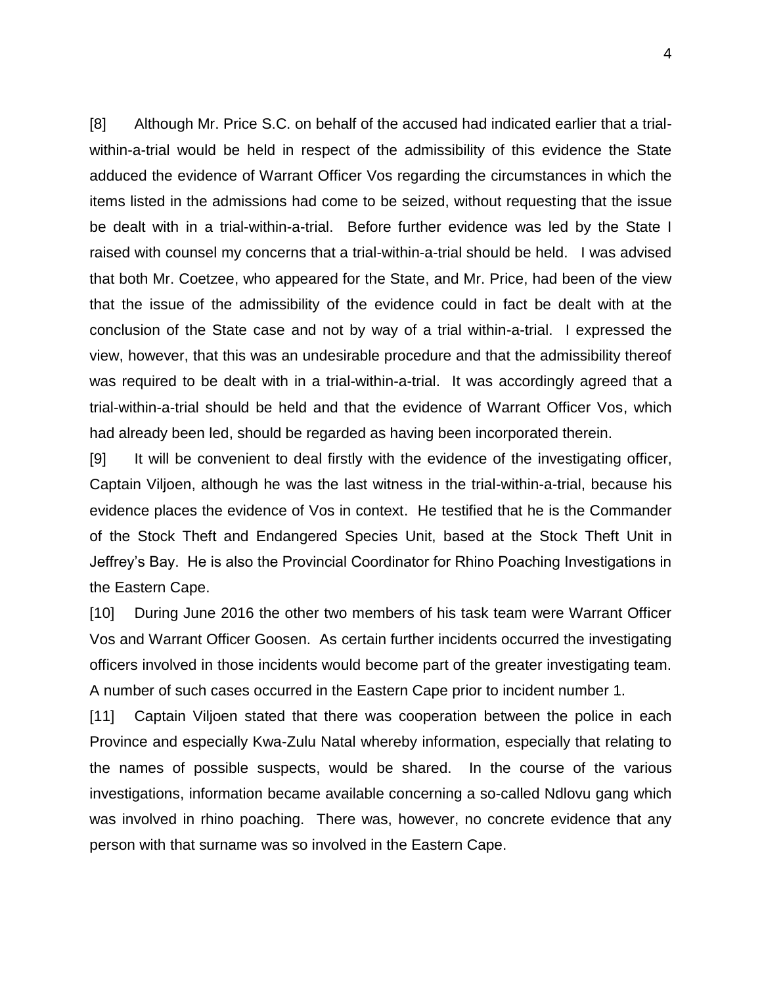[8] Although Mr. Price S.C. on behalf of the accused had indicated earlier that a trialwithin-a-trial would be held in respect of the admissibility of this evidence the State adduced the evidence of Warrant Officer Vos regarding the circumstances in which the items listed in the admissions had come to be seized, without requesting that the issue be dealt with in a trial-within-a-trial. Before further evidence was led by the State I raised with counsel my concerns that a trial-within-a-trial should be held. I was advised that both Mr. Coetzee, who appeared for the State, and Mr. Price, had been of the view that the issue of the admissibility of the evidence could in fact be dealt with at the conclusion of the State case and not by way of a trial within-a-trial. I expressed the view, however, that this was an undesirable procedure and that the admissibility thereof was required to be dealt with in a trial-within-a-trial. It was accordingly agreed that a trial-within-a-trial should be held and that the evidence of Warrant Officer Vos, which had already been led, should be regarded as having been incorporated therein.

[9] It will be convenient to deal firstly with the evidence of the investigating officer, Captain Viljoen, although he was the last witness in the trial-within-a-trial, because his evidence places the evidence of Vos in context. He testified that he is the Commander of the Stock Theft and Endangered Species Unit, based at the Stock Theft Unit in Jeffrey's Bay. He is also the Provincial Coordinator for Rhino Poaching Investigations in the Eastern Cape.

[10] During June 2016 the other two members of his task team were Warrant Officer Vos and Warrant Officer Goosen. As certain further incidents occurred the investigating officers involved in those incidents would become part of the greater investigating team. A number of such cases occurred in the Eastern Cape prior to incident number 1.

[11] Captain Viljoen stated that there was cooperation between the police in each Province and especially Kwa-Zulu Natal whereby information, especially that relating to the names of possible suspects, would be shared. In the course of the various investigations, information became available concerning a so-called Ndlovu gang which was involved in rhino poaching. There was, however, no concrete evidence that any person with that surname was so involved in the Eastern Cape.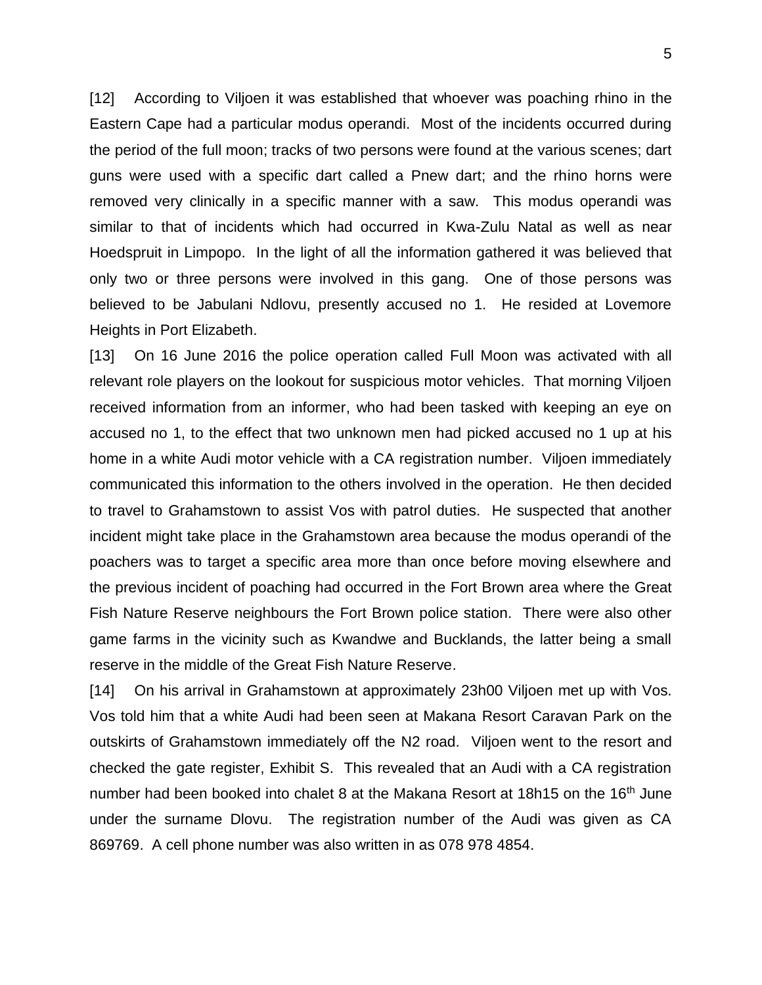[12] According to Viljoen it was established that whoever was poaching rhino in the Eastern Cape had a particular modus operandi. Most of the incidents occurred during the period of the full moon; tracks of two persons were found at the various scenes; dart guns were used with a specific dart called a Pnew dart; and the rhino horns were removed very clinically in a specific manner with a saw. This modus operandi was similar to that of incidents which had occurred in Kwa-Zulu Natal as well as near Hoedspruit in Limpopo. In the light of all the information gathered it was believed that only two or three persons were involved in this gang. One of those persons was believed to be Jabulani Ndlovu, presently accused no 1. He resided at Lovemore Heights in Port Elizabeth.

[13] On 16 June 2016 the police operation called Full Moon was activated with all relevant role players on the lookout for suspicious motor vehicles. That morning Viljoen received information from an informer, who had been tasked with keeping an eye on accused no 1, to the effect that two unknown men had picked accused no 1 up at his home in a white Audi motor vehicle with a CA registration number. Viljoen immediately communicated this information to the others involved in the operation. He then decided to travel to Grahamstown to assist Vos with patrol duties. He suspected that another incident might take place in the Grahamstown area because the modus operandi of the poachers was to target a specific area more than once before moving elsewhere and the previous incident of poaching had occurred in the Fort Brown area where the Great Fish Nature Reserve neighbours the Fort Brown police station. There were also other game farms in the vicinity such as Kwandwe and Bucklands, the latter being a small reserve in the middle of the Great Fish Nature Reserve.

[14] On his arrival in Grahamstown at approximately 23h00 Viljoen met up with Vos. Vos told him that a white Audi had been seen at Makana Resort Caravan Park on the outskirts of Grahamstown immediately off the N2 road. Viljoen went to the resort and checked the gate register, Exhibit S. This revealed that an Audi with a CA registration number had been booked into chalet 8 at the Makana Resort at 18h15 on the 16<sup>th</sup> June under the surname Dlovu. The registration number of the Audi was given as CA 869769. A cell phone number was also written in as 078 978 4854.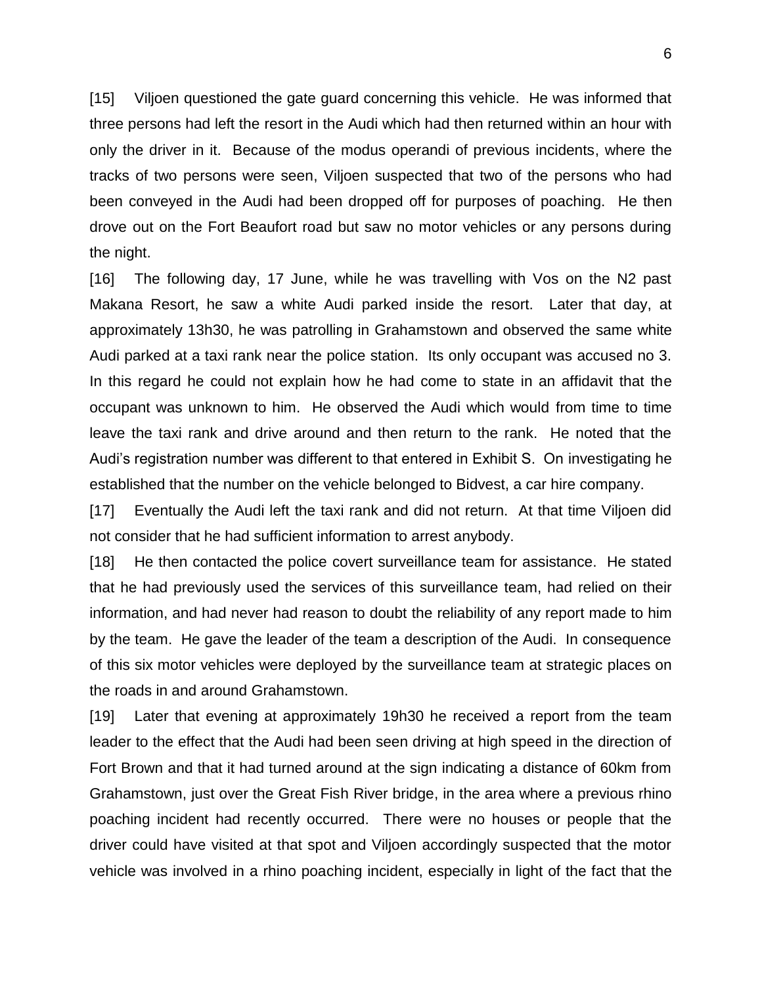[15] Viljoen questioned the gate guard concerning this vehicle. He was informed that three persons had left the resort in the Audi which had then returned within an hour with only the driver in it. Because of the modus operandi of previous incidents, where the tracks of two persons were seen, Viljoen suspected that two of the persons who had been conveyed in the Audi had been dropped off for purposes of poaching. He then drove out on the Fort Beaufort road but saw no motor vehicles or any persons during the night.

[16] The following day, 17 June, while he was travelling with Vos on the N2 past Makana Resort, he saw a white Audi parked inside the resort. Later that day, at approximately 13h30, he was patrolling in Grahamstown and observed the same white Audi parked at a taxi rank near the police station. Its only occupant was accused no 3. In this regard he could not explain how he had come to state in an affidavit that the occupant was unknown to him. He observed the Audi which would from time to time leave the taxi rank and drive around and then return to the rank. He noted that the Audi's registration number was different to that entered in Exhibit S. On investigating he established that the number on the vehicle belonged to Bidvest, a car hire company.

[17] Eventually the Audi left the taxi rank and did not return. At that time Viljoen did not consider that he had sufficient information to arrest anybody.

[18] He then contacted the police covert surveillance team for assistance. He stated that he had previously used the services of this surveillance team, had relied on their information, and had never had reason to doubt the reliability of any report made to him by the team. He gave the leader of the team a description of the Audi. In consequence of this six motor vehicles were deployed by the surveillance team at strategic places on the roads in and around Grahamstown.

[19] Later that evening at approximately 19h30 he received a report from the team leader to the effect that the Audi had been seen driving at high speed in the direction of Fort Brown and that it had turned around at the sign indicating a distance of 60km from Grahamstown, just over the Great Fish River bridge, in the area where a previous rhino poaching incident had recently occurred. There were no houses or people that the driver could have visited at that spot and Viljoen accordingly suspected that the motor vehicle was involved in a rhino poaching incident, especially in light of the fact that the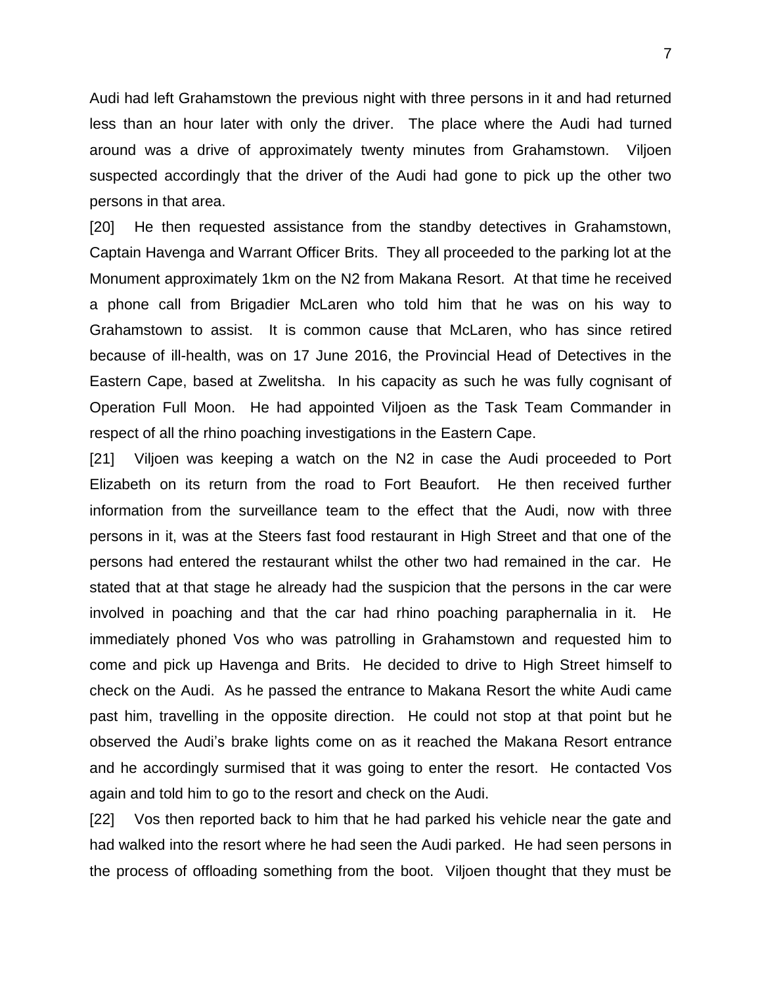Audi had left Grahamstown the previous night with three persons in it and had returned less than an hour later with only the driver. The place where the Audi had turned around was a drive of approximately twenty minutes from Grahamstown. Viljoen suspected accordingly that the driver of the Audi had gone to pick up the other two persons in that area.

[20] He then requested assistance from the standby detectives in Grahamstown, Captain Havenga and Warrant Officer Brits. They all proceeded to the parking lot at the Monument approximately 1km on the N2 from Makana Resort. At that time he received a phone call from Brigadier McLaren who told him that he was on his way to Grahamstown to assist. It is common cause that McLaren, who has since retired because of ill-health, was on 17 June 2016, the Provincial Head of Detectives in the Eastern Cape, based at Zwelitsha. In his capacity as such he was fully cognisant of Operation Full Moon. He had appointed Viljoen as the Task Team Commander in respect of all the rhino poaching investigations in the Eastern Cape.

[21] Viljoen was keeping a watch on the N2 in case the Audi proceeded to Port Elizabeth on its return from the road to Fort Beaufort. He then received further information from the surveillance team to the effect that the Audi, now with three persons in it, was at the Steers fast food restaurant in High Street and that one of the persons had entered the restaurant whilst the other two had remained in the car. He stated that at that stage he already had the suspicion that the persons in the car were involved in poaching and that the car had rhino poaching paraphernalia in it. He immediately phoned Vos who was patrolling in Grahamstown and requested him to come and pick up Havenga and Brits. He decided to drive to High Street himself to check on the Audi. As he passed the entrance to Makana Resort the white Audi came past him, travelling in the opposite direction. He could not stop at that point but he observed the Audi's brake lights come on as it reached the Makana Resort entrance and he accordingly surmised that it was going to enter the resort. He contacted Vos again and told him to go to the resort and check on the Audi.

[22] Vos then reported back to him that he had parked his vehicle near the gate and had walked into the resort where he had seen the Audi parked. He had seen persons in the process of offloading something from the boot. Viljoen thought that they must be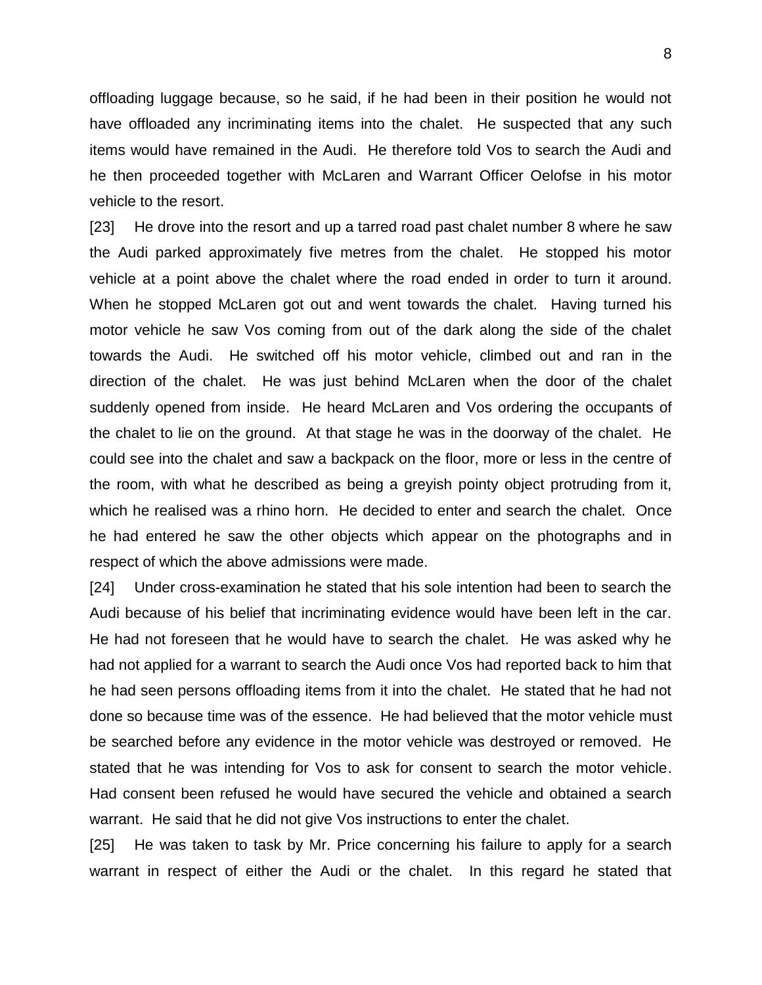offloading luggage because, so he said, if he had been in their position he would not have offloaded any incriminating items into the chalet. He suspected that any such items would have remained in the Audi. He therefore told Vos to search the Audi and he then proceeded together with McLaren and Warrant Officer Oelofse in his motor vehicle to the resort.

[23] He drove into the resort and up a tarred road past chalet number 8 where he saw the Audi parked approximately five metres from the chalet. He stopped his motor vehicle at a point above the chalet where the road ended in order to turn it around. When he stopped McLaren got out and went towards the chalet. Having turned his motor vehicle he saw Vos coming from out of the dark along the side of the chalet towards the Audi. He switched off his motor vehicle, climbed out and ran in the direction of the chalet. He was just behind McLaren when the door of the chalet suddenly opened from inside. He heard McLaren and Vos ordering the occupants of the chalet to lie on the ground. At that stage he was in the doorway of the chalet. He could see into the chalet and saw a backpack on the floor, more or less in the centre of the room, with what he described as being a greyish pointy object protruding from it, which he realised was a rhino horn. He decided to enter and search the chalet. Once he had entered he saw the other objects which appear on the photographs and in respect of which the above admissions were made.

[24] Under cross-examination he stated that his sole intention had been to search the Audi because of his belief that incriminating evidence would have been left in the car. He had not foreseen that he would have to search the chalet. He was asked why he had not applied for a warrant to search the Audi once Vos had reported back to him that he had seen persons offloading items from it into the chalet. He stated that he had not done so because time was of the essence. He had believed that the motor vehicle must be searched before any evidence in the motor vehicle was destroyed or removed. He stated that he was intending for Vos to ask for consent to search the motor vehicle. Had consent been refused he would have secured the vehicle and obtained a search warrant. He said that he did not give Vos instructions to enter the chalet.

[25] He was taken to task by Mr. Price concerning his failure to apply for a search warrant in respect of either the Audi or the chalet. In this regard he stated that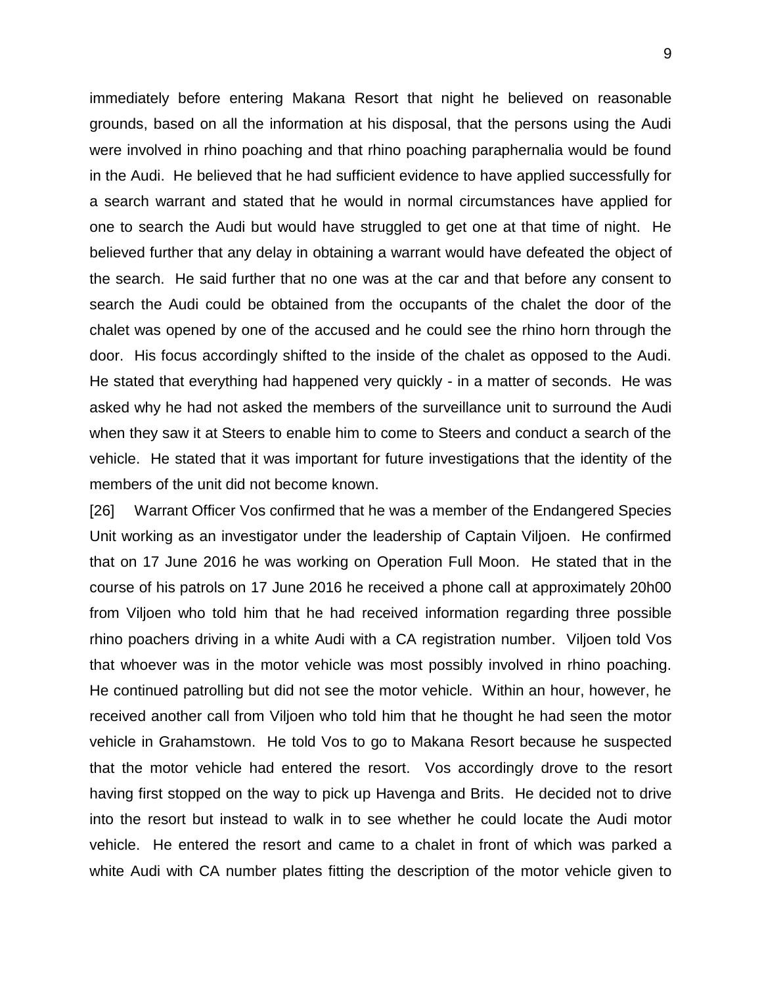immediately before entering Makana Resort that night he believed on reasonable grounds, based on all the information at his disposal, that the persons using the Audi were involved in rhino poaching and that rhino poaching paraphernalia would be found in the Audi. He believed that he had sufficient evidence to have applied successfully for a search warrant and stated that he would in normal circumstances have applied for one to search the Audi but would have struggled to get one at that time of night. He believed further that any delay in obtaining a warrant would have defeated the object of the search. He said further that no one was at the car and that before any consent to search the Audi could be obtained from the occupants of the chalet the door of the chalet was opened by one of the accused and he could see the rhino horn through the door. His focus accordingly shifted to the inside of the chalet as opposed to the Audi. He stated that everything had happened very quickly - in a matter of seconds. He was asked why he had not asked the members of the surveillance unit to surround the Audi when they saw it at Steers to enable him to come to Steers and conduct a search of the vehicle. He stated that it was important for future investigations that the identity of the members of the unit did not become known.

[26] Warrant Officer Vos confirmed that he was a member of the Endangered Species Unit working as an investigator under the leadership of Captain Viljoen. He confirmed that on 17 June 2016 he was working on Operation Full Moon. He stated that in the course of his patrols on 17 June 2016 he received a phone call at approximately 20h00 from Viljoen who told him that he had received information regarding three possible rhino poachers driving in a white Audi with a CA registration number. Viljoen told Vos that whoever was in the motor vehicle was most possibly involved in rhino poaching. He continued patrolling but did not see the motor vehicle. Within an hour, however, he received another call from Viljoen who told him that he thought he had seen the motor vehicle in Grahamstown. He told Vos to go to Makana Resort because he suspected that the motor vehicle had entered the resort. Vos accordingly drove to the resort having first stopped on the way to pick up Havenga and Brits. He decided not to drive into the resort but instead to walk in to see whether he could locate the Audi motor vehicle. He entered the resort and came to a chalet in front of which was parked a white Audi with CA number plates fitting the description of the motor vehicle given to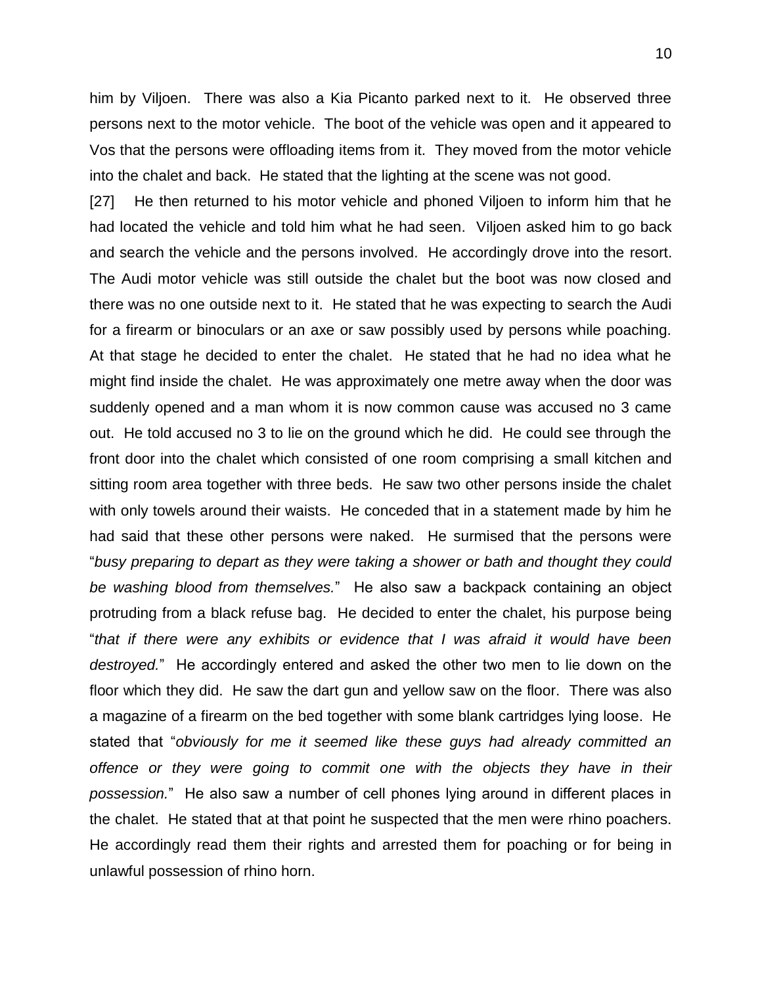him by Viljoen. There was also a Kia Picanto parked next to it. He observed three persons next to the motor vehicle. The boot of the vehicle was open and it appeared to Vos that the persons were offloading items from it. They moved from the motor vehicle into the chalet and back. He stated that the lighting at the scene was not good.

[27] He then returned to his motor vehicle and phoned Viljoen to inform him that he had located the vehicle and told him what he had seen. Viljoen asked him to go back and search the vehicle and the persons involved. He accordingly drove into the resort. The Audi motor vehicle was still outside the chalet but the boot was now closed and there was no one outside next to it. He stated that he was expecting to search the Audi for a firearm or binoculars or an axe or saw possibly used by persons while poaching. At that stage he decided to enter the chalet. He stated that he had no idea what he might find inside the chalet. He was approximately one metre away when the door was suddenly opened and a man whom it is now common cause was accused no 3 came out. He told accused no 3 to lie on the ground which he did. He could see through the front door into the chalet which consisted of one room comprising a small kitchen and sitting room area together with three beds. He saw two other persons inside the chalet with only towels around their waists. He conceded that in a statement made by him he had said that these other persons were naked. He surmised that the persons were "*busy preparing to depart as they were taking a shower or bath and thought they could be washing blood from themselves.*" He also saw a backpack containing an object protruding from a black refuse bag. He decided to enter the chalet, his purpose being "*that if there were any exhibits or evidence that I was afraid it would have been destroyed.*" He accordingly entered and asked the other two men to lie down on the floor which they did. He saw the dart gun and yellow saw on the floor. There was also a magazine of a firearm on the bed together with some blank cartridges lying loose. He stated that "*obviously for me it seemed like these guys had already committed an offence or they were going to commit one with the objects they have in their possession.*" He also saw a number of cell phones lying around in different places in the chalet. He stated that at that point he suspected that the men were rhino poachers. He accordingly read them their rights and arrested them for poaching or for being in unlawful possession of rhino horn.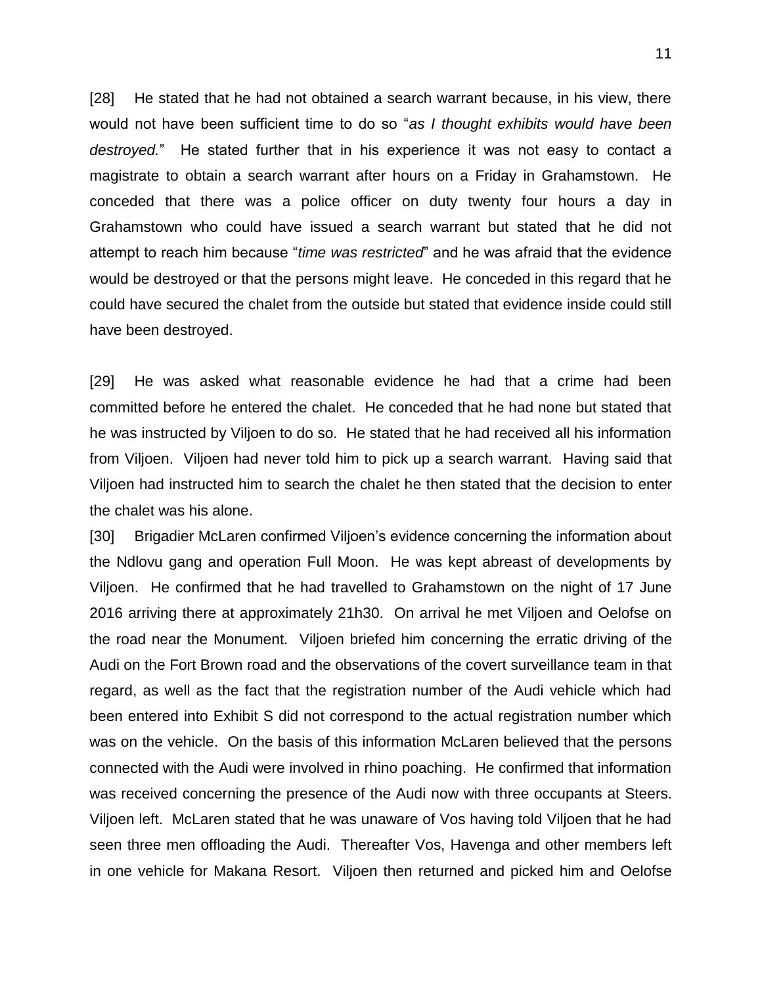[28] He stated that he had not obtained a search warrant because, in his view, there would not have been sufficient time to do so "*as I thought exhibits would have been destroyed.*" He stated further that in his experience it was not easy to contact a magistrate to obtain a search warrant after hours on a Friday in Grahamstown. He conceded that there was a police officer on duty twenty four hours a day in Grahamstown who could have issued a search warrant but stated that he did not attempt to reach him because "*time was restricted*" and he was afraid that the evidence would be destroyed or that the persons might leave. He conceded in this regard that he could have secured the chalet from the outside but stated that evidence inside could still have been destroyed.

[29] He was asked what reasonable evidence he had that a crime had been committed before he entered the chalet. He conceded that he had none but stated that he was instructed by Viljoen to do so. He stated that he had received all his information from Viljoen. Viljoen had never told him to pick up a search warrant. Having said that Viljoen had instructed him to search the chalet he then stated that the decision to enter the chalet was his alone.

[30] Brigadier McLaren confirmed Viljoen's evidence concerning the information about the Ndlovu gang and operation Full Moon. He was kept abreast of developments by Viljoen. He confirmed that he had travelled to Grahamstown on the night of 17 June 2016 arriving there at approximately 21h30. On arrival he met Viljoen and Oelofse on the road near the Monument. Viljoen briefed him concerning the erratic driving of the Audi on the Fort Brown road and the observations of the covert surveillance team in that regard, as well as the fact that the registration number of the Audi vehicle which had been entered into Exhibit S did not correspond to the actual registration number which was on the vehicle. On the basis of this information McLaren believed that the persons connected with the Audi were involved in rhino poaching. He confirmed that information was received concerning the presence of the Audi now with three occupants at Steers. Viljoen left. McLaren stated that he was unaware of Vos having told Viljoen that he had seen three men offloading the Audi. Thereafter Vos, Havenga and other members left in one vehicle for Makana Resort. Viljoen then returned and picked him and Oelofse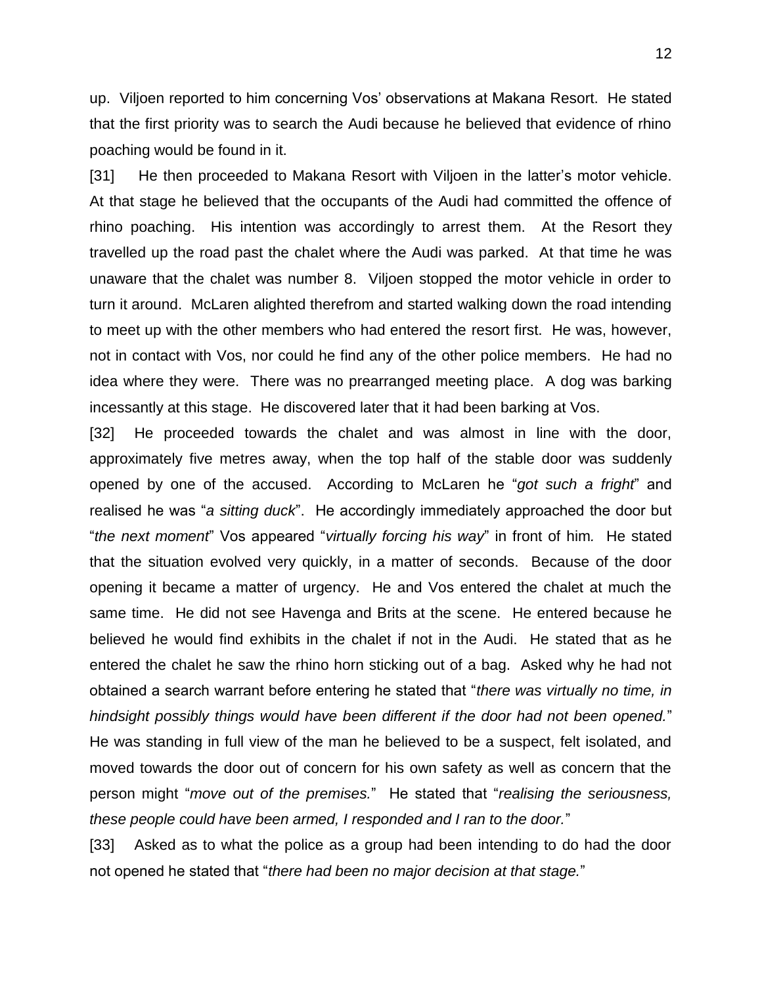up. Viljoen reported to him concerning Vos' observations at Makana Resort. He stated that the first priority was to search the Audi because he believed that evidence of rhino poaching would be found in it.

[31] He then proceeded to Makana Resort with Viljoen in the latter's motor vehicle. At that stage he believed that the occupants of the Audi had committed the offence of rhino poaching. His intention was accordingly to arrest them. At the Resort they travelled up the road past the chalet where the Audi was parked. At that time he was unaware that the chalet was number 8. Viljoen stopped the motor vehicle in order to turn it around. McLaren alighted therefrom and started walking down the road intending to meet up with the other members who had entered the resort first. He was, however, not in contact with Vos, nor could he find any of the other police members. He had no idea where they were. There was no prearranged meeting place. A dog was barking incessantly at this stage. He discovered later that it had been barking at Vos.

[32] He proceeded towards the chalet and was almost in line with the door, approximately five metres away, when the top half of the stable door was suddenly opened by one of the accused. According to McLaren he "*got such a fright*" and realised he was "*a sitting duck*". He accordingly immediately approached the door but "*the next moment*" Vos appeared "*virtually forcing his way*" in front of him*.* He stated that the situation evolved very quickly, in a matter of seconds. Because of the door opening it became a matter of urgency. He and Vos entered the chalet at much the same time. He did not see Havenga and Brits at the scene. He entered because he believed he would find exhibits in the chalet if not in the Audi. He stated that as he entered the chalet he saw the rhino horn sticking out of a bag. Asked why he had not obtained a search warrant before entering he stated that "*there was virtually no time, in hindsight possibly things would have been different if the door had not been opened.*" He was standing in full view of the man he believed to be a suspect, felt isolated, and moved towards the door out of concern for his own safety as well as concern that the person might "*move out of the premises.*" He stated that "*realising the seriousness, these people could have been armed, I responded and I ran to the door.*"

[33] Asked as to what the police as a group had been intending to do had the door not opened he stated that "*there had been no major decision at that stage.*"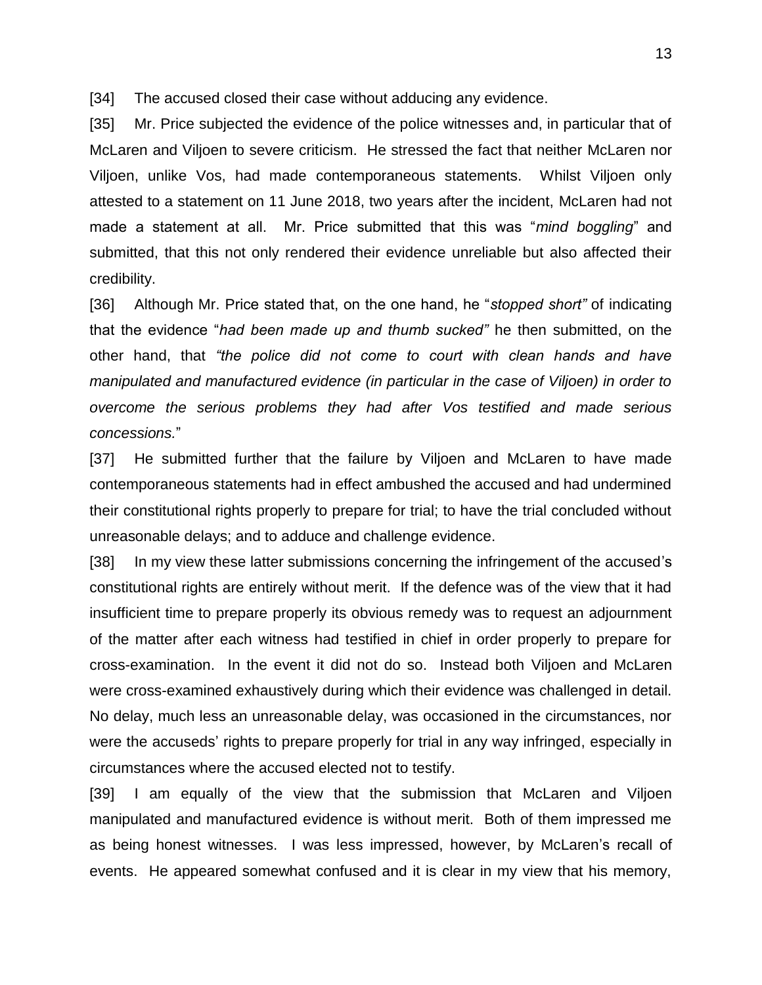[34] The accused closed their case without adducing any evidence.

[35] Mr. Price subjected the evidence of the police witnesses and, in particular that of McLaren and Viljoen to severe criticism. He stressed the fact that neither McLaren nor Viljoen, unlike Vos, had made contemporaneous statements. Whilst Viljoen only attested to a statement on 11 June 2018, two years after the incident, McLaren had not made a statement at all. Mr. Price submitted that this was "*mind boggling*" and submitted, that this not only rendered their evidence unreliable but also affected their credibility.

[36] Although Mr. Price stated that, on the one hand, he "*stopped short"* of indicating that the evidence "*had been made up and thumb sucked"* he then submitted, on the other hand, that *"the police did not come to court with clean hands and have manipulated and manufactured evidence (in particular in the case of Viljoen) in order to overcome the serious problems they had after Vos testified and made serious concessions.*"

[37] He submitted further that the failure by Viljoen and McLaren to have made contemporaneous statements had in effect ambushed the accused and had undermined their constitutional rights properly to prepare for trial; to have the trial concluded without unreasonable delays; and to adduce and challenge evidence.

[38] In my view these latter submissions concerning the infringement of the accused's constitutional rights are entirely without merit. If the defence was of the view that it had insufficient time to prepare properly its obvious remedy was to request an adjournment of the matter after each witness had testified in chief in order properly to prepare for cross-examination. In the event it did not do so. Instead both Viljoen and McLaren were cross-examined exhaustively during which their evidence was challenged in detail. No delay, much less an unreasonable delay, was occasioned in the circumstances, nor were the accuseds' rights to prepare properly for trial in any way infringed, especially in circumstances where the accused elected not to testify.

[39] I am equally of the view that the submission that McLaren and Viljoen manipulated and manufactured evidence is without merit. Both of them impressed me as being honest witnesses. I was less impressed, however, by McLaren's recall of events. He appeared somewhat confused and it is clear in my view that his memory,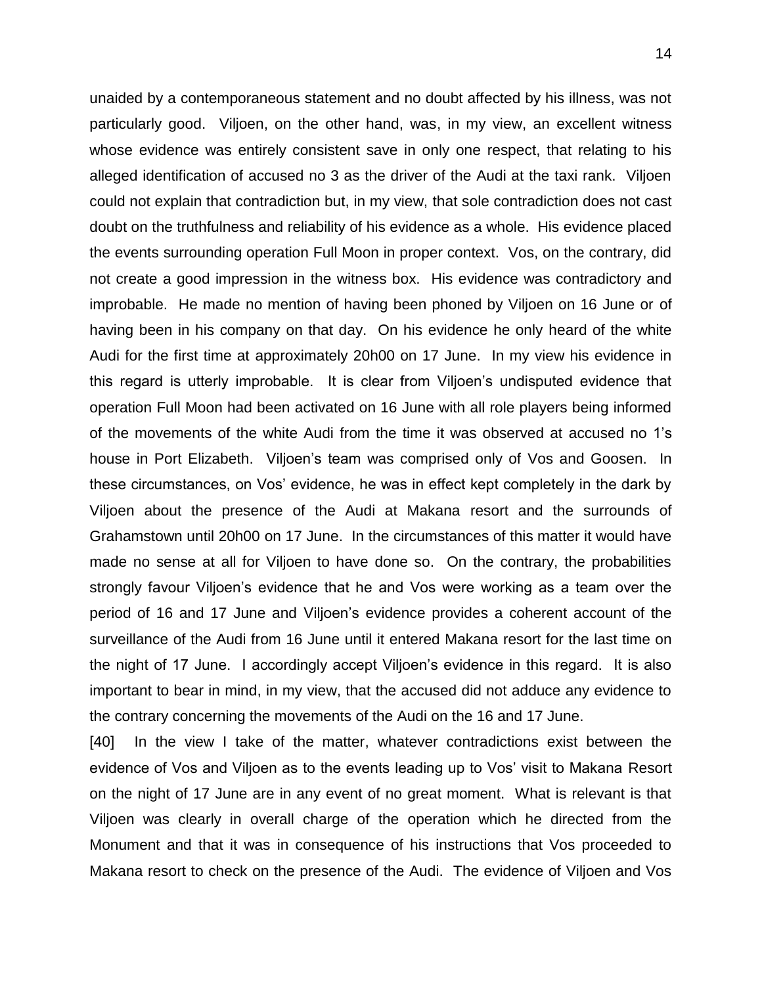unaided by a contemporaneous statement and no doubt affected by his illness, was not particularly good. Viljoen, on the other hand, was, in my view, an excellent witness whose evidence was entirely consistent save in only one respect, that relating to his alleged identification of accused no 3 as the driver of the Audi at the taxi rank. Viljoen could not explain that contradiction but, in my view, that sole contradiction does not cast doubt on the truthfulness and reliability of his evidence as a whole. His evidence placed the events surrounding operation Full Moon in proper context. Vos, on the contrary, did not create a good impression in the witness box. His evidence was contradictory and improbable. He made no mention of having been phoned by Viljoen on 16 June or of having been in his company on that day. On his evidence he only heard of the white Audi for the first time at approximately 20h00 on 17 June. In my view his evidence in this regard is utterly improbable. It is clear from Viljoen's undisputed evidence that operation Full Moon had been activated on 16 June with all role players being informed of the movements of the white Audi from the time it was observed at accused no 1's house in Port Elizabeth. Viljoen's team was comprised only of Vos and Goosen. In these circumstances, on Vos' evidence, he was in effect kept completely in the dark by Viljoen about the presence of the Audi at Makana resort and the surrounds of Grahamstown until 20h00 on 17 June. In the circumstances of this matter it would have made no sense at all for Viljoen to have done so. On the contrary, the probabilities strongly favour Viljoen's evidence that he and Vos were working as a team over the period of 16 and 17 June and Viljoen's evidence provides a coherent account of the surveillance of the Audi from 16 June until it entered Makana resort for the last time on the night of 17 June. I accordingly accept Viljoen's evidence in this regard. It is also important to bear in mind, in my view, that the accused did not adduce any evidence to the contrary concerning the movements of the Audi on the 16 and 17 June.

[40] In the view I take of the matter, whatever contradictions exist between the evidence of Vos and Viljoen as to the events leading up to Vos' visit to Makana Resort on the night of 17 June are in any event of no great moment. What is relevant is that Viljoen was clearly in overall charge of the operation which he directed from the Monument and that it was in consequence of his instructions that Vos proceeded to Makana resort to check on the presence of the Audi. The evidence of Viljoen and Vos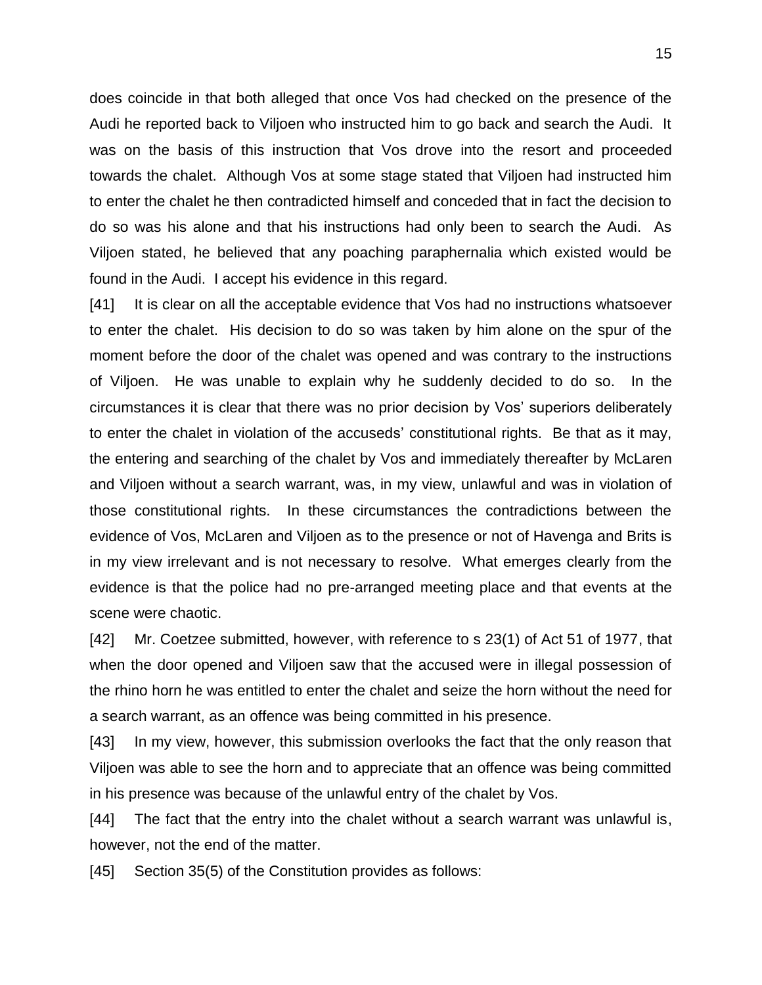does coincide in that both alleged that once Vos had checked on the presence of the Audi he reported back to Viljoen who instructed him to go back and search the Audi. It was on the basis of this instruction that Vos drove into the resort and proceeded towards the chalet. Although Vos at some stage stated that Viljoen had instructed him to enter the chalet he then contradicted himself and conceded that in fact the decision to do so was his alone and that his instructions had only been to search the Audi. As Viljoen stated, he believed that any poaching paraphernalia which existed would be found in the Audi. I accept his evidence in this regard.

[41] It is clear on all the acceptable evidence that Vos had no instructions whatsoever to enter the chalet. His decision to do so was taken by him alone on the spur of the moment before the door of the chalet was opened and was contrary to the instructions of Viljoen. He was unable to explain why he suddenly decided to do so. In the circumstances it is clear that there was no prior decision by Vos' superiors deliberately to enter the chalet in violation of the accuseds' constitutional rights. Be that as it may, the entering and searching of the chalet by Vos and immediately thereafter by McLaren and Viljoen without a search warrant, was, in my view, unlawful and was in violation of those constitutional rights. In these circumstances the contradictions between the evidence of Vos, McLaren and Viljoen as to the presence or not of Havenga and Brits is in my view irrelevant and is not necessary to resolve. What emerges clearly from the evidence is that the police had no pre-arranged meeting place and that events at the scene were chaotic.

[42] Mr. Coetzee submitted, however, with reference to s 23(1) of Act 51 of 1977, that when the door opened and Viljoen saw that the accused were in illegal possession of the rhino horn he was entitled to enter the chalet and seize the horn without the need for a search warrant, as an offence was being committed in his presence.

[43] In my view, however, this submission overlooks the fact that the only reason that Viljoen was able to see the horn and to appreciate that an offence was being committed in his presence was because of the unlawful entry of the chalet by Vos.

[44] The fact that the entry into the chalet without a search warrant was unlawful is, however, not the end of the matter.

[45] Section 35(5) of the Constitution provides as follows: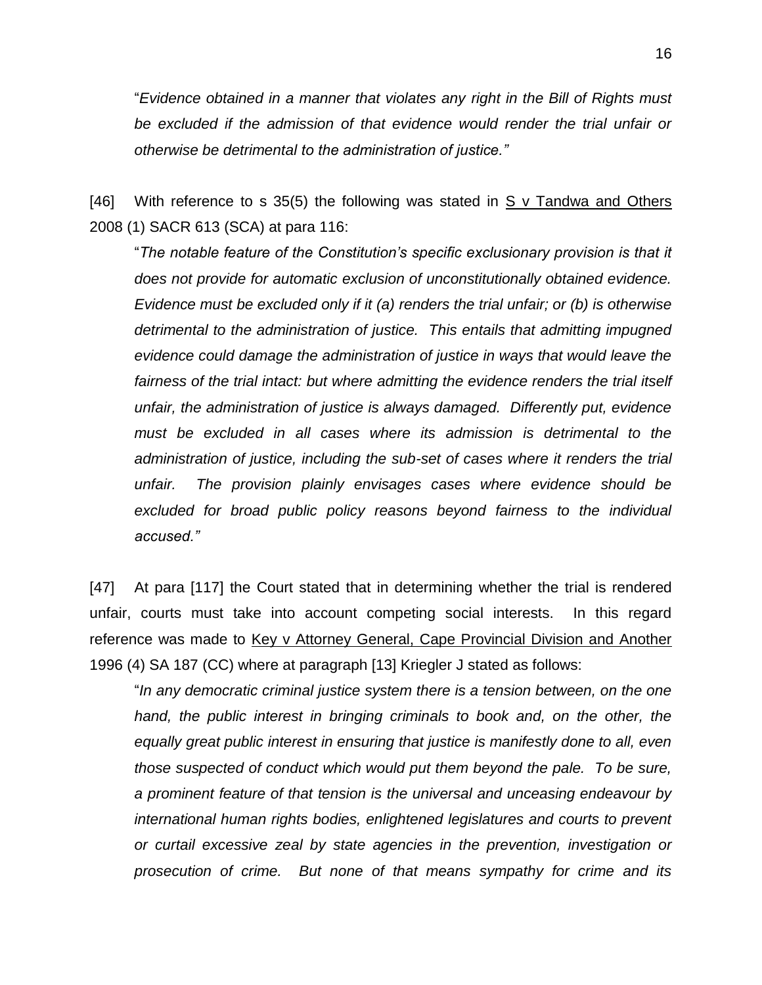16

"*Evidence obtained in a manner that violates any right in the Bill of Rights must be excluded if the admission of that evidence would render the trial unfair or otherwise be detrimental to the administration of justice."*

[46] With reference to s 35(5) the following was stated in S v Tandwa and Others 2008 (1) SACR 613 (SCA) at para 116:

"*The notable feature of the Constitution's specific exclusionary provision is that it does not provide for automatic exclusion of unconstitutionally obtained evidence. Evidence must be excluded only if it (a) renders the trial unfair; or (b) is otherwise detrimental to the administration of justice. This entails that admitting impugned evidence could damage the administration of justice in ways that would leave the*  fairness of the trial intact: but where admitting the evidence renders the trial itself *unfair, the administration of justice is always damaged. Differently put, evidence must be excluded in all cases where its admission is detrimental to the administration of justice, including the sub-set of cases where it renders the trial unfair. The provision plainly envisages cases where evidence should be excluded for broad public policy reasons beyond fairness to the individual accused."*

[47] At para [117] the Court stated that in determining whether the trial is rendered unfair, courts must take into account competing social interests. In this regard reference was made to Key v Attorney General, Cape Provincial Division and Another 1996 (4) SA 187 (CC) where at paragraph [13] Kriegler J stated as follows:

"*In any democratic criminal justice system there is a tension between, on the one hand, the public interest in bringing criminals to book and, on the other, the equally great public interest in ensuring that justice is manifestly done to all, even those suspected of conduct which would put them beyond the pale. To be sure, a prominent feature of that tension is the universal and unceasing endeavour by international human rights bodies, enlightened legislatures and courts to prevent or curtail excessive zeal by state agencies in the prevention, investigation or prosecution of crime. But none of that means sympathy for crime and its*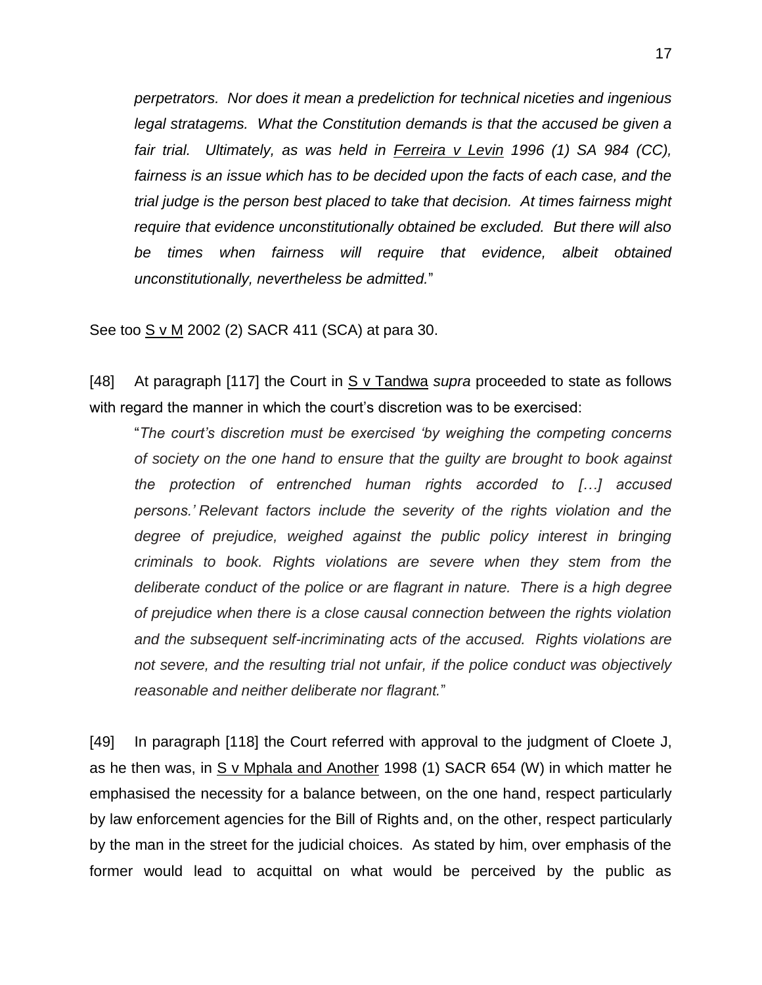*perpetrators. Nor does it mean a predeliction for technical niceties and ingenious legal stratagems. What the Constitution demands is that the accused be given a fair trial. Ultimately, as was held in Ferreira v Levin 1996 (1) SA 984 (CC), fairness is an issue which has to be decided upon the facts of each case, and the trial judge is the person best placed to take that decision. At times fairness might require that evidence unconstitutionally obtained be excluded. But there will also be times when fairness will require that evidence, albeit obtained unconstitutionally, nevertheless be admitted.*"

See too S v M 2002 (2) SACR 411 (SCA) at para 30.

[48] At paragraph [117] the Court in S v Tandwa *supra* proceeded to state as follows with regard the manner in which the court's discretion was to be exercised:

"*The court's discretion must be exercised 'by weighing the competing concerns of society on the one hand to ensure that the guilty are brought to book against the protection of entrenched human rights accorded to […] accused persons.' Relevant factors include the severity of the rights violation and the degree of prejudice, weighed against the public policy interest in bringing criminals to book. Rights violations are severe when they stem from the deliberate conduct of the police or are flagrant in nature. There is a high degree of prejudice when there is a close causal connection between the rights violation and the subsequent self-incriminating acts of the accused. Rights violations are not severe, and the resulting trial not unfair, if the police conduct was objectively reasonable and neither deliberate nor flagrant.*"

[49] In paragraph [118] the Court referred with approval to the judgment of Cloete J, as he then was, in S v Mphala and Another 1998 (1) SACR 654 (W) in which matter he emphasised the necessity for a balance between, on the one hand, respect particularly by law enforcement agencies for the Bill of Rights and, on the other, respect particularly by the man in the street for the judicial choices. As stated by him, over emphasis of the former would lead to acquittal on what would be perceived by the public as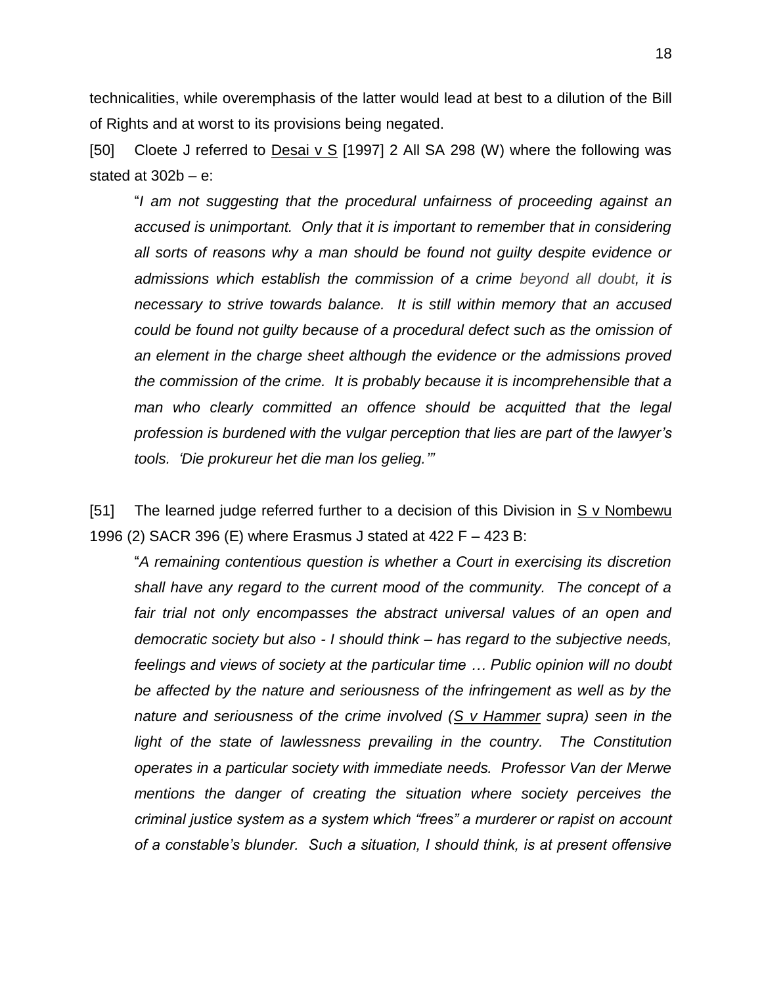technicalities, while overemphasis of the latter would lead at best to a dilution of the Bill of Rights and at worst to its provisions being negated.

[50] Cloete J referred to Desai v S [1997] 2 All SA 298 (W) where the following was stated at  $302b - e$ :

"*I am not suggesting that the procedural unfairness of proceeding against an accused is unimportant. Only that it is important to remember that in considering all sorts of reasons why a man should be found not guilty despite evidence or admissions which establish the commission of a crime beyond all doubt, it is necessary to strive towards balance. It is still within memory that an accused could be found not guilty because of a procedural defect such as the omission of an element in the charge sheet although the evidence or the admissions proved the commission of the crime. It is probably because it is incomprehensible that a*  man who clearly committed an offence should be acquitted that the legal *profession is burdened with the vulgar perception that lies are part of the lawyer's tools. 'Die prokureur het die man los gelieg.'"*

[51] The learned judge referred further to a decision of this Division in S v Nombewu 1996 (2) SACR 396 (E) where Erasmus J stated at 422 F – 423 B:

"*A remaining contentious question is whether a Court in exercising its discretion shall have any regard to the current mood of the community. The concept of a fair trial not only encompasses the abstract universal values of an open and democratic society but also - I should think – has regard to the subjective needs, feelings and views of society at the particular time … Public opinion will no doubt be affected by the nature and seriousness of the infringement as well as by the nature and seriousness of the crime involved (S v Hammer supra) seen in the*  light of the state of lawlessness prevailing in the country. The Constitution *operates in a particular society with immediate needs. Professor Van der Merwe mentions the danger of creating the situation where society perceives the criminal justice system as a system which "frees" a murderer or rapist on account of a constable's blunder. Such a situation, I should think, is at present offensive*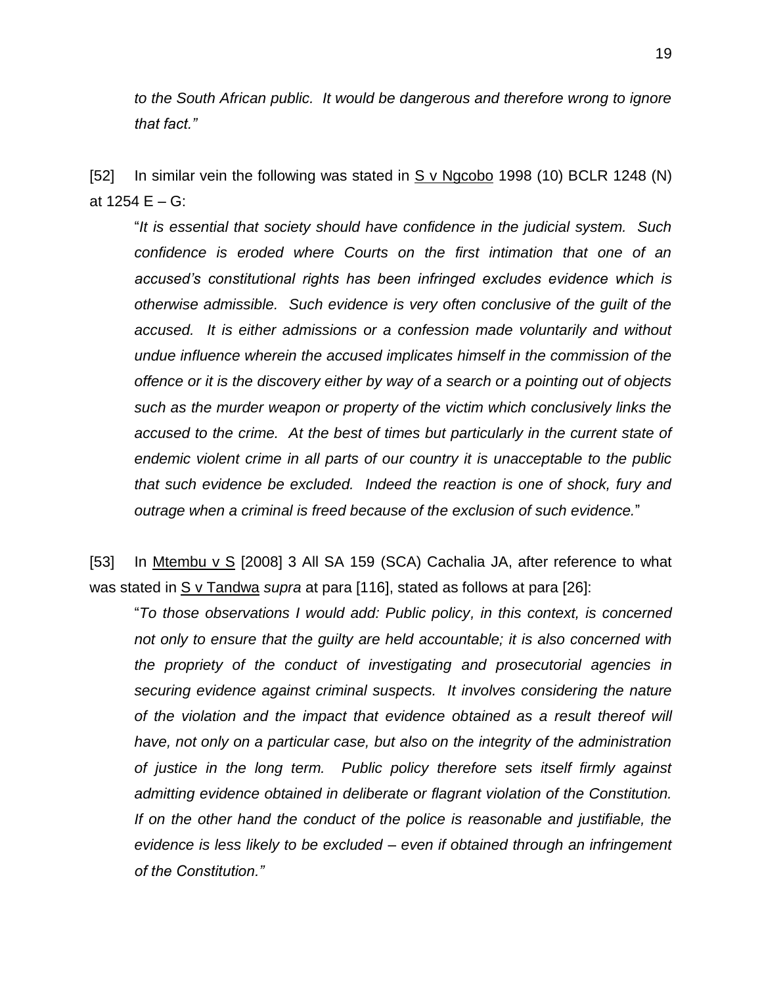*to the South African public. It would be dangerous and therefore wrong to ignore that fact."*

[52] In similar vein the following was stated in  $S$  v Ngcobo 1998 (10) BCLR 1248 (N) at  $1254 F - G$ :

"*It is essential that society should have confidence in the judicial system. Such confidence is eroded where Courts on the first intimation that one of an accused's constitutional rights has been infringed excludes evidence which is otherwise admissible. Such evidence is very often conclusive of the guilt of the accused. It is either admissions or a confession made voluntarily and without undue influence wherein the accused implicates himself in the commission of the offence or it is the discovery either by way of a search or a pointing out of objects such as the murder weapon or property of the victim which conclusively links the accused to the crime. At the best of times but particularly in the current state of endemic violent crime in all parts of our country it is unacceptable to the public that such evidence be excluded. Indeed the reaction is one of shock, fury and outrage when a criminal is freed because of the exclusion of such evidence.*"

[53] In Mtembu v S [2008] 3 All SA 159 (SCA) Cachalia JA, after reference to what was stated in S v Tandwa *supra* at para [116], stated as follows at para [26]:

"*To those observations I would add: Public policy, in this context, is concerned not only to ensure that the guilty are held accountable; it is also concerned with the propriety of the conduct of investigating and prosecutorial agencies in securing evidence against criminal suspects. It involves considering the nature of the violation and the impact that evidence obtained as a result thereof will have, not only on a particular case, but also on the integrity of the administration of justice in the long term. Public policy therefore sets itself firmly against admitting evidence obtained in deliberate or flagrant violation of the Constitution. If on the other hand the conduct of the police is reasonable and justifiable, the evidence is less likely to be excluded – even if obtained through an infringement of the Constitution."*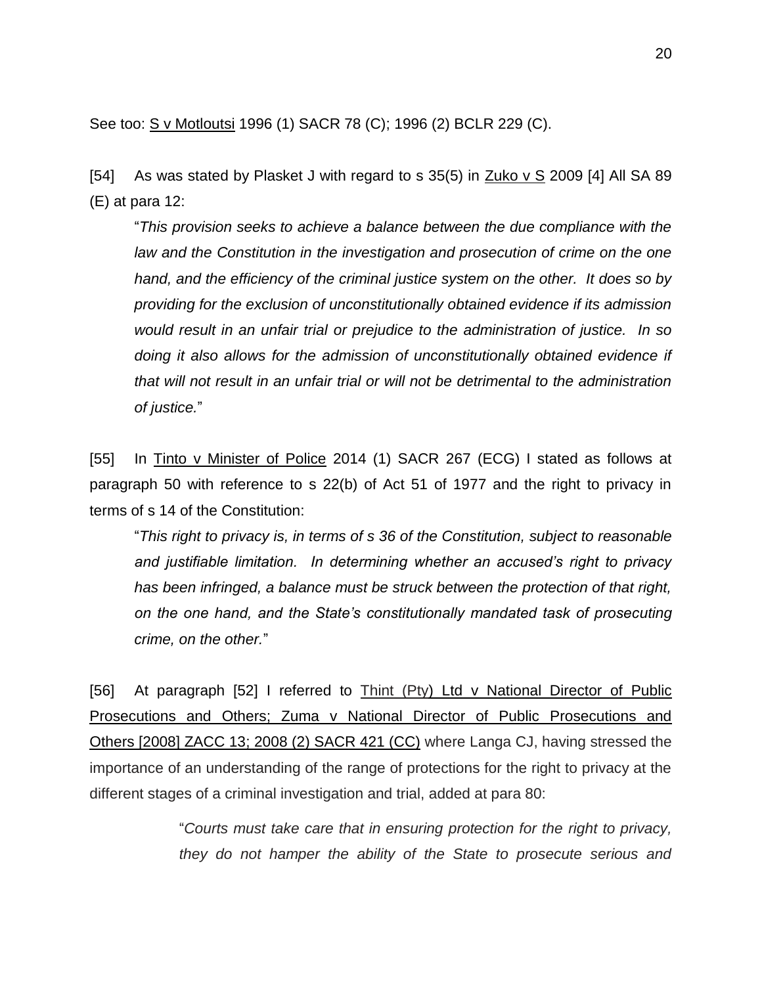See too: S v Motloutsi 1996 (1) SACR 78 (C); 1996 (2) BCLR 229 (C).

[54] As was stated by Plasket J with regard to s  $35(5)$  in Zuko v S 2009 [4] All SA 89 (E) at para 12:

"*This provision seeks to achieve a balance between the due compliance with the law and the Constitution in the investigation and prosecution of crime on the one hand, and the efficiency of the criminal justice system on the other. It does so by providing for the exclusion of unconstitutionally obtained evidence if its admission would result in an unfair trial or prejudice to the administration of justice. In so doing it also allows for the admission of unconstitutionally obtained evidence if that will not result in an unfair trial or will not be detrimental to the administration of justice.*"

[55] In Tinto v Minister of Police 2014 (1) SACR 267 (ECG) I stated as follows at paragraph 50 with reference to s 22(b) of Act 51 of 1977 and the right to privacy in terms of s 14 of the Constitution:

"*This right to privacy is, in terms of s 36 of the Constitution, subject to reasonable and justifiable limitation. In determining whether an accused's right to privacy has been infringed, a balance must be struck between the protection of that right, on the one hand, and the State's constitutionally mandated task of prosecuting crime, on the other.*"

[56] At paragraph [52] I referred to Thint (Pty) Ltd v National Director of Public Prosecutions and Others; Zuma v National Director of Public Prosecutions and Others [\[2008\] ZACC 13;](http://www.saflii.org/za/cases/ZACC/2008/13.html) [2008 \(2\) SACR 421](http://www.saflii.org/cgi-bin/LawCite?cit=2008%20%282%29%20SACR%20421) (CC) where Langa CJ, having stressed the importance of an understanding of the range of protections for the right to privacy at the different stages of a criminal investigation and trial, added at para 80:

> "*Courts must take care that in ensuring protection for the right to privacy, they do not hamper the ability of the State to prosecute serious and*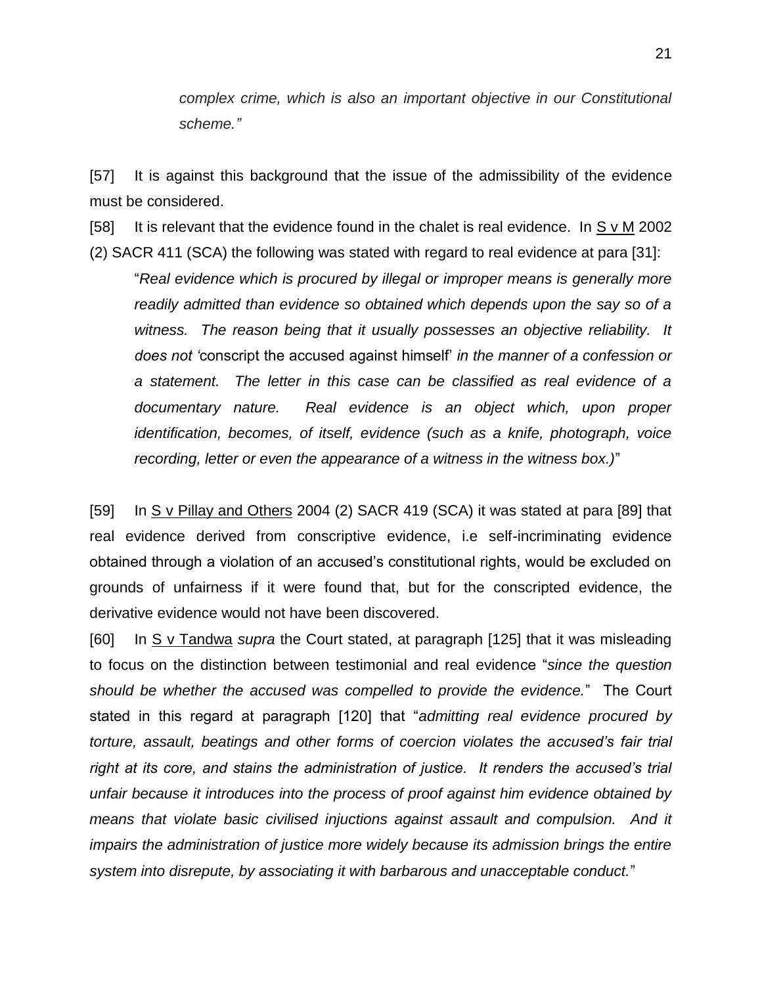*complex crime, which is also an important objective in our Constitutional scheme."*

[57] It is against this background that the issue of the admissibility of the evidence must be considered.

[58] It is relevant that the evidence found in the chalet is real evidence. In S v M 2002 (2) SACR 411 (SCA) the following was stated with regard to real evidence at para [31]:

"*Real evidence which is procured by illegal or improper means is generally more readily admitted than evidence so obtained which depends upon the say so of a witness. The reason being that it usually possesses an objective reliability. It does not '*conscript the accused against himself' *in the manner of a confession or a statement. The letter in this case can be classified as real evidence of a documentary nature. Real evidence is an object which, upon proper identification, becomes, of itself, evidence (such as a knife, photograph, voice recording, letter or even the appearance of a witness in the witness box.)*"

[59] In S v Pillay and Others 2004 (2) SACR 419 (SCA) it was stated at para [89] that real evidence derived from conscriptive evidence, i.e self-incriminating evidence obtained through a violation of an accused's constitutional rights, would be excluded on grounds of unfairness if it were found that, but for the conscripted evidence, the derivative evidence would not have been discovered.

[60] In S v Tandwa *supra* the Court stated, at paragraph [125] that it was misleading to focus on the distinction between testimonial and real evidence "*since the question should be whether the accused was compelled to provide the evidence.*" The Court stated in this regard at paragraph [120] that "*admitting real evidence procured by torture, assault, beatings and other forms of coercion violates the accused's fair trial right at its core, and stains the administration of justice. It renders the accused's trial unfair because it introduces into the process of proof against him evidence obtained by means that violate basic civilised injuctions against assault and compulsion. And it impairs the administration of justice more widely because its admission brings the entire system into disrepute, by associating it with barbarous and unacceptable conduct.*"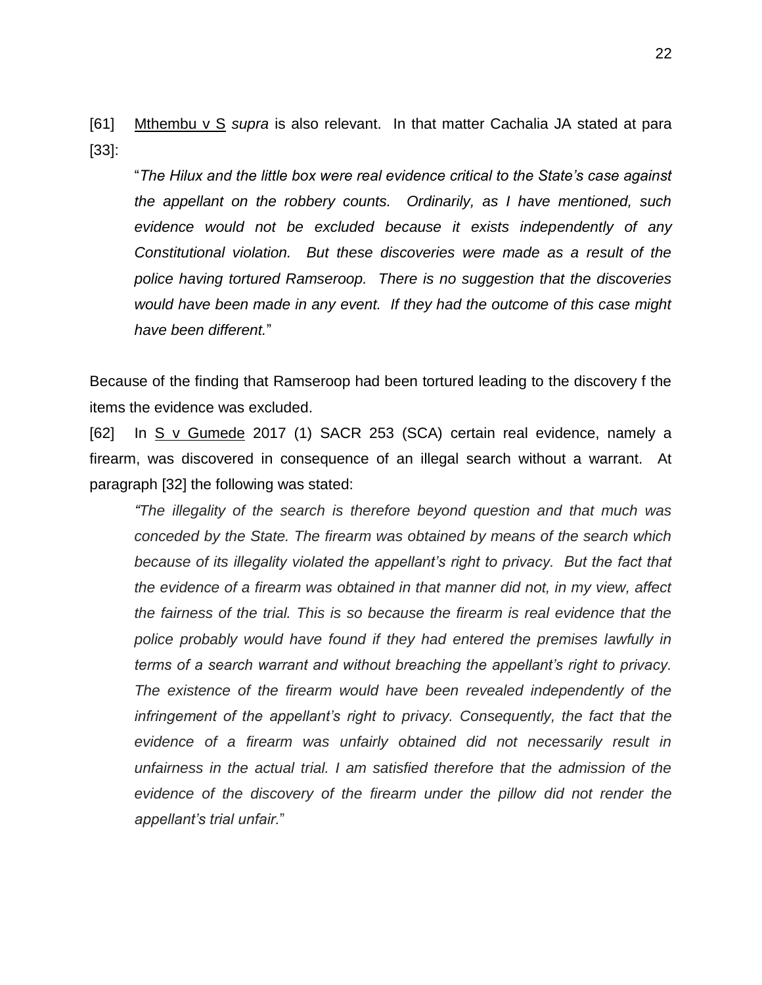[61] Mthembu v S *supra* is also relevant. In that matter Cachalia JA stated at para [33]:

"*The Hilux and the little box were real evidence critical to the State's case against the appellant on the robbery counts. Ordinarily, as I have mentioned, such evidence would not be excluded because it exists independently of any Constitutional violation. But these discoveries were made as a result of the police having tortured Ramseroop. There is no suggestion that the discoveries would have been made in any event. If they had the outcome of this case might have been different.*"

Because of the finding that Ramseroop had been tortured leading to the discovery f the items the evidence was excluded.

[62] In S v Gumede 2017 (1) SACR 253 (SCA) certain real evidence, namely a firearm, was discovered in consequence of an illegal search without a warrant. At paragraph [32] the following was stated:

*"The illegality of the search is therefore beyond question and that much was conceded by the State. The firearm was obtained by means of the search which because of its illegality violated the appellant's right to privacy. But the fact that the evidence of a firearm was obtained in that manner did not, in my view, affect the fairness of the trial. This is so because the firearm is real evidence that the police probably would have found if they had entered the premises lawfully in terms of a search warrant and without breaching the appellant's right to privacy. The existence of the firearm would have been revealed independently of the*  infringement of the appellant's right to privacy. Consequently, the fact that the *evidence of a firearm was unfairly obtained did not necessarily result in unfairness in the actual trial. I am satisfied therefore that the admission of the evidence of the discovery of the firearm under the pillow did not render the appellant's trial unfair.*"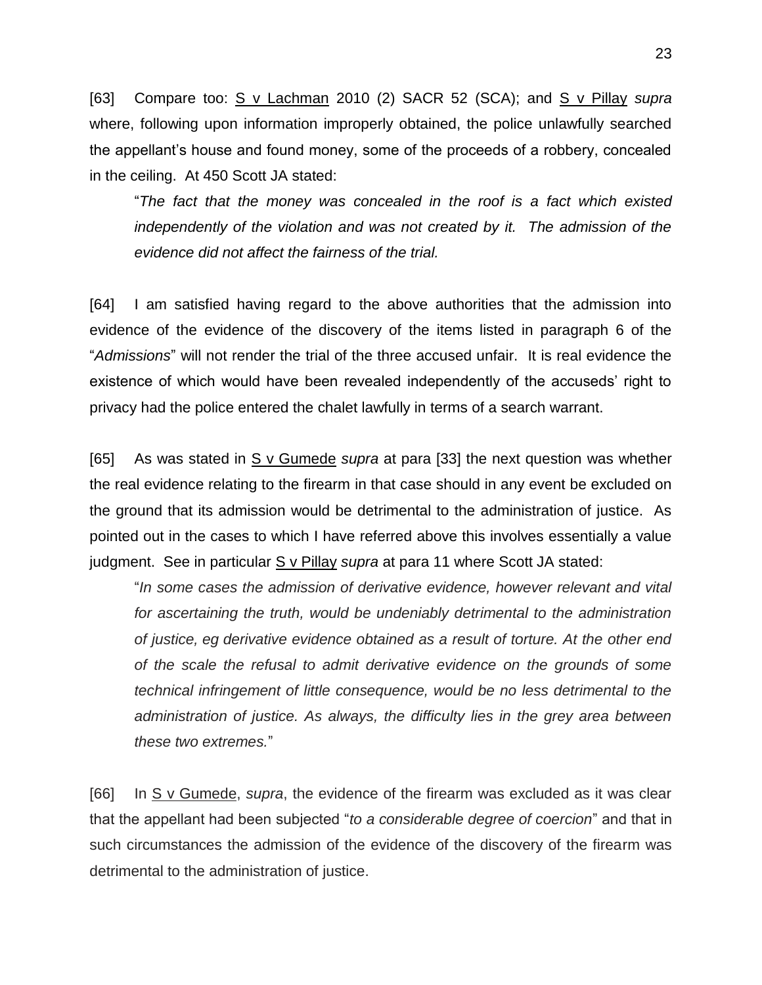[63] Compare too: S v Lachman 2010 (2) SACR 52 (SCA); and S v Pillay *supra* where, following upon information improperly obtained, the police unlawfully searched the appellant's house and found money, some of the proceeds of a robbery, concealed in the ceiling. At 450 Scott JA stated:

"*The fact that the money was concealed in the roof is a fact which existed independently of the violation and was not created by it. The admission of the evidence did not affect the fairness of the trial.*

[64] I am satisfied having regard to the above authorities that the admission into evidence of the evidence of the discovery of the items listed in paragraph 6 of the "*Admissions*" will not render the trial of the three accused unfair. It is real evidence the existence of which would have been revealed independently of the accuseds' right to privacy had the police entered the chalet lawfully in terms of a search warrant.

[65] As was stated in S v Gumede *supra* at para [33] the next question was whether the real evidence relating to the firearm in that case should in any event be excluded on the ground that its admission would be detrimental to the administration of justice. As pointed out in the cases to which I have referred above this involves essentially a value judgment. See in particular S v Pillay *supra* at para 11 where Scott JA stated:

"*In some cases the admission of derivative evidence, however relevant and vital for ascertaining the truth, would be undeniably detrimental to the administration of justice, eg derivative evidence obtained as a result of torture. At the other end of the scale the refusal to admit derivative evidence on the grounds of some technical infringement of little consequence, would be no less detrimental to the administration of justice. As always, the difficulty lies in the grey area between these two extremes.*"

[66] In S v Gumede, *supra*, the evidence of the firearm was excluded as it was clear that the appellant had been subjected "*to a considerable degree of coercion*" and that in such circumstances the admission of the evidence of the discovery of the firearm was detrimental to the administration of justice.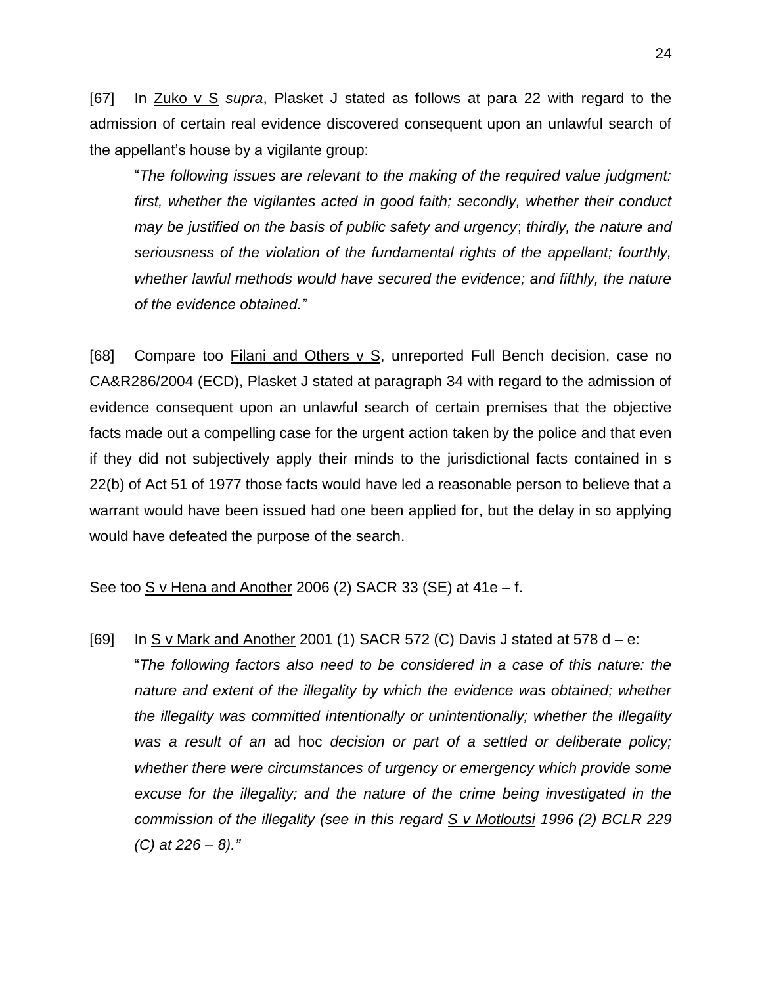[67] In Zuko v S *supra*, Plasket J stated as follows at para 22 with regard to the admission of certain real evidence discovered consequent upon an unlawful search of the appellant's house by a vigilante group:

"*The following issues are relevant to the making of the required value judgment: first, whether the vigilantes acted in good faith; secondly, whether their conduct may be justified on the basis of public safety and urgency*; *thirdly, the nature and seriousness of the violation of the fundamental rights of the appellant; fourthly, whether lawful methods would have secured the evidence; and fifthly, the nature of the evidence obtained."*

[68] Compare too Filani and Others v S, unreported Full Bench decision, case no CA&R286/2004 (ECD), Plasket J stated at paragraph 34 with regard to the admission of evidence consequent upon an unlawful search of certain premises that the objective facts made out a compelling case for the urgent action taken by the police and that even if they did not subjectively apply their minds to the jurisdictional facts contained in s 22(b) of Act 51 of 1977 those facts would have led a reasonable person to believe that a warrant would have been issued had one been applied for, but the delay in so applying would have defeated the purpose of the search.

# See too S v Hena and Another 2006 (2) SACR 33 (SE) at 41e – f.

[69] In S v Mark and Another 2001 (1) SACR 572 (C) Davis J stated at 578 d  $-$  e:

"*The following factors also need to be considered in a case of this nature: the*  nature and extent of the illegality by which the evidence was obtained; whether *the illegality was committed intentionally or unintentionally; whether the illegality was a result of an* ad hoc *decision or part of a settled or deliberate policy; whether there were circumstances of urgency or emergency which provide some*  excuse for the illegality; and the nature of the crime being investigated in the *commission of the illegality (see in this regard S v Motloutsi 1996 (2) BCLR 229 (C) at 226 – 8)."*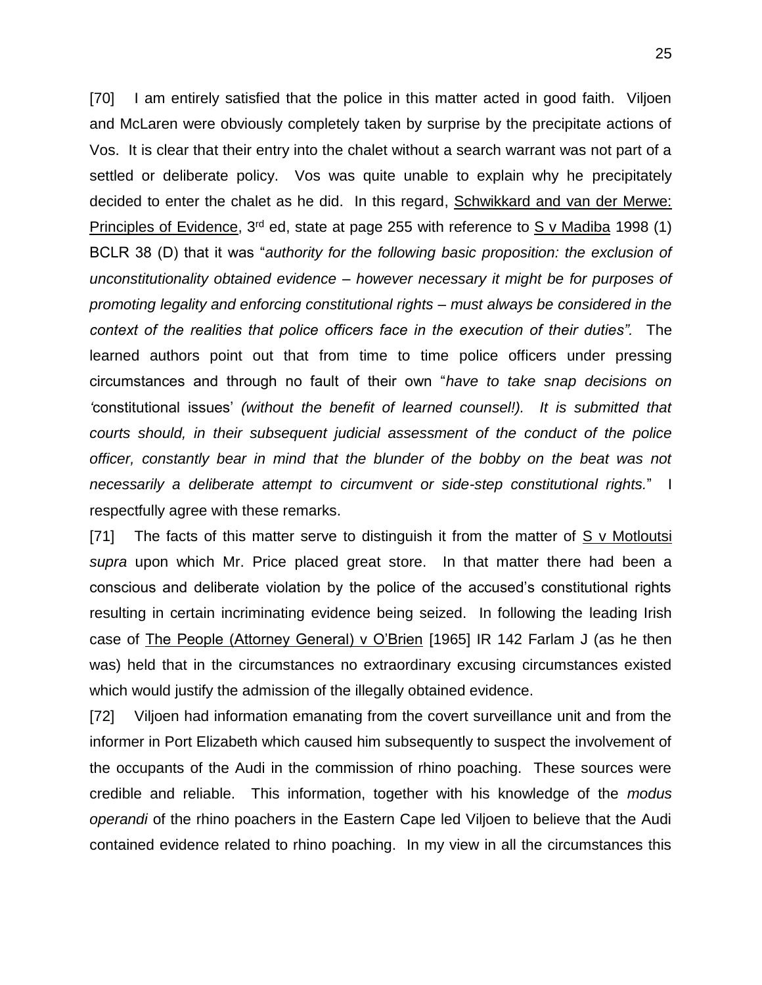[70] I am entirely satisfied that the police in this matter acted in good faith. Viljoen and McLaren were obviously completely taken by surprise by the precipitate actions of Vos. It is clear that their entry into the chalet without a search warrant was not part of a settled or deliberate policy. Vos was quite unable to explain why he precipitately decided to enter the chalet as he did. In this regard, Schwikkard and van der Merwe: Principles of Evidence,  $3<sup>rd</sup>$  ed, state at page 255 with reference to S v Madiba 1998 (1) BCLR 38 (D) that it was "*authority for the following basic proposition: the exclusion of unconstitutionality obtained evidence – however necessary it might be for purposes of promoting legality and enforcing constitutional rights – must always be considered in the context of the realities that police officers face in the execution of their duties".* The learned authors point out that from time to time police officers under pressing circumstances and through no fault of their own "*have to take snap decisions on '*constitutional issues' *(without the benefit of learned counsel!). It is submitted that courts should, in their subsequent judicial assessment of the conduct of the police officer, constantly bear in mind that the blunder of the bobby on the beat was not necessarily a deliberate attempt to circumvent or side-step constitutional rights.*" I respectfully agree with these remarks.

[71] The facts of this matter serve to distinguish it from the matter of  $S$  v Motloutsi *supra* upon which Mr. Price placed great store. In that matter there had been a conscious and deliberate violation by the police of the accused's constitutional rights resulting in certain incriminating evidence being seized. In following the leading Irish case of The People (Attorney General) v O'Brien [1965] IR 142 Farlam J (as he then was) held that in the circumstances no extraordinary excusing circumstances existed which would justify the admission of the illegally obtained evidence.

[72] Viljoen had information emanating from the covert surveillance unit and from the informer in Port Elizabeth which caused him subsequently to suspect the involvement of the occupants of the Audi in the commission of rhino poaching. These sources were credible and reliable. This information, together with his knowledge of the *modus operandi* of the rhino poachers in the Eastern Cape led Viljoen to believe that the Audi contained evidence related to rhino poaching. In my view in all the circumstances this